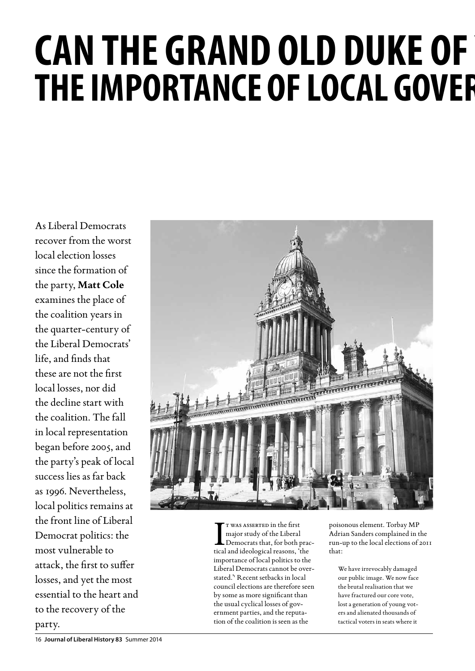# **CAN THE GRAND OLD DUKE OF THE IMPORTANCE OF LOCAL GOVER**

As Liberal Democrats recover from the worst local election losses since the formation of the party, **Matt Cole** examines the place of the coalition years in the quarter-century of the Liberal Democrats' life, and finds that these are not the first local losses, nor did the decline start with the coalition. The fall in local representation began before 2005, and the party's peak of local success lies as far back as 1996. Nevertheless, local politics remains at the front line of Liberal Democrat politics: the most vulnerable to attack, the first to suffer losses, and yet the most essential to the heart and to the recovery of the party.



T WAS ASSERTED in the first<br>major study of the Liberal<br>Democrats that, for both practical and ideological reasons, 'the t was asserted in the first major study of the Liberal Democrats that, for both pracimportance of local politics to the Liberal Democrats cannot be overstated.'1 Recent setbacks in local council elections are therefore seen by some as more significant than the usual cyclical losses of government parties, and the reputation of the coalition is seen as the

poisonous element. Torbay MP Adrian Sanders complained in the run-up to the local elections of 2011 that:

We have irrevocably damaged our public image. We now face the brutal realisation that we have fractured our core vote, lost a generation of young voters and alienated thousands of tactical voters in seats where it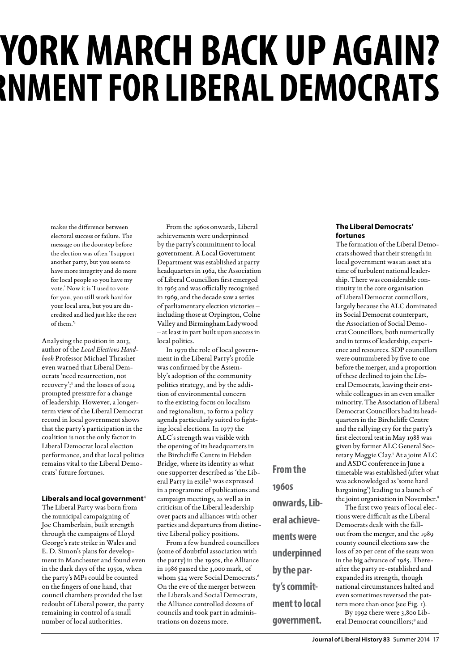# **YORK MARCH BACK UP AGAIN? The importance of local government for Liberal Democrats**

makes the difference between electoral success or failure. The message on the doorstep before the election was often 'I support another party, but you seem to have more integrity and do more for local people so you have my vote.' Now it is 'I used to vote for you, you still work hard for your local area, but you are discredited and lied just like the rest of them.'2

Analysing the position in 2013, author of the *Local Elections Handbook* Professor Michael Thrasher even warned that Liberal Democrats 'need resurrection, not recovery';<sup>3</sup> and the losses of 2014 prompted pressure for a change of leadership. However, a longerterm view of the Liberal Democrat record in local government shows that the party's participation in the coalition is not the only factor in Liberal Democrat local election performance, and that local politics remains vital to the Liberal Democrats' future fortunes.

#### **Liberals and local government**<sup>4</sup>

The Liberal Party was born from the municipal campaigning of Joe Chamberlain, built strength through the campaigns of Lloyd George's rate strike in Wales and E. D. Simon's plans for development in Manchester and found even in the dark days of the 1950s, when the party's MPs could be counted on the fingers of one hand, that council chambers provided the last redoubt of Liberal power, the party remaining in control of a small number of local authorities.

From the 1960s onwards, Liberal achievements were underpinned by the party's commitment to local government. A Local Government Department was established at party headquarters in 1962, the Association of Liberal Councillors first emerged in 1965 and was officially recognised in 1969, and the decade saw a series of parliamentary election victories – including those at Orpington, Colne Valley and Birmingham Ladywood – at least in part built upon success in local politics.

In 1970 the role of local government in the Liberal Party's profile was confirmed by the Assembly's adoption of the community politics strategy, and by the addition of environmental concern to the existing focus on localism and regionalism, to form a policy agenda particularly suited to fighting local elections. In 1977 the ALC's strength was visible with the opening of its headquarters in the Birchcliffe Centre in Hebden Bridge, where its identity as what one supporter described as 'the Liberal Party in exile's was expressed in a programme of publications and campaign meetings, as well as in criticism of the Liberal leadership over pacts and alliances with other parties and departures from distinctive Liberal policy positions.

From a few hundred councillors (some of doubtful association with the party) in the 1950s, the Alliance in 1986 passed the 3,000 mark, of whom 524 were Social Democrats.<sup>6</sup> On the eve of the merger between the Liberals and Social Democrats, the Alliance controlled dozens of councils and took part in administrations on dozens more.

**1960s onwards, Liberal achievements were underpinned by the party's commitment to local government.**

**From the** 

### **The Liberal Democrats' fortunes**

The formation of the Liberal Democrats showed that their strength in local government was an asset at a time of turbulent national leadership. There was considerable continuity in the core organisation of Liberal Democrat councillors, largely because the ALC dominated its Social Democrat counterpart, the Association of Social Democrat Councillors, both numerically and in terms of leadership, experience and resources. SDP councillors were outnumbered by five to one before the merger, and a proportion of these declined to join the Liberal Democrats, leaving their erstwhile colleagues in an even smaller minority. The Association of Liberal Democrat Councillors had its headquarters in the Birchcliffe Centre and the rallying cry for the party's first electoral test in May 1988 was given by former ALC General Secretary Maggie Clay.7 At a joint ALC and ASDC conference in June a timetable was established (after what was acknowledged as 'some hard bargaining') leading to a launch of the joint organisation in November.<sup>8</sup>

The first two years of local elections were difficult as the Liberal Democrats dealt with the fallout from the merger, and the 1989 county council elections saw the loss of 20 per cent of the seats won in the big advance of 1985. Thereafter the party re-established and expanded its strength, though national circumstances halted and even sometimes reversed the pattern more than once (see Fig. 1).

By 1992 there were 3,800 Liberal Democrat councillors;<sup>9</sup> and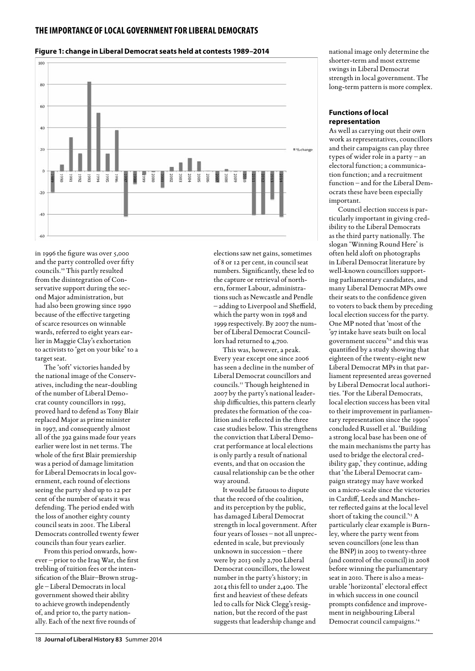

### **Figure 1: change in Liberal Democrat seats held at contests 1989–2014**

in 1996 the figure was over 5,000 and the party controlled over fifty councils.10 This partly resulted from the disintegration of Conservative support during the second Major administration, but had also been growing since 1990 because of the effective targeting of scarce resources on winnable wards, referred to eight years earlier in Maggie Clay's exhortation to activists to 'get on your bike' to a target seat.

The 'soft' victories handed by the national image of the Conservatives, including the near-doubling of the number of Liberal Democrat county councillors in 1993, proved hard to defend as Tony Blair replaced Major as prime minister in 1997, and consequently almost all of the 392 gains made four years earlier were lost in net terms. The whole of the first Blair premiership was a period of damage limitation for Liberal Democrats in local government, each round of elections seeing the party shed up to 12 per cent of the number of seats it was defending. The period ended with the loss of another eighty county council seats in 2001. The Liberal Democrats controlled twenty fewer councils than four years earlier.

From this period onwards, however – prior to the Iraq War, the first trebling of tuition fees or the intensification of the Blair–Brown struggle – Liberal Democrats in local government showed their ability to achieve growth independently of, and prior to, the party nationally. Each of the next five rounds of

elections saw net gains, sometimes of 8 or 12 per cent, in council seat numbers. Significantly, these led to the capture or retrieval of northern, former Labour, administrations such as Newcastle and Pendle – adding to Liverpool and Sheffield, which the party won in 1998 and 1999 respectively. By 2007 the number of Liberal Democrat Councillors had returned to 4,700.

This was, however, a peak. Every year except one since 2006 has seen a decline in the number of Liberal Democrat councillors and councils.11 Though heightened in 2007 by the party's national leadership difficulties, this pattern clearly predates the formation of the coalition and is reflected in the three case studies below. This strengthens the conviction that Liberal Democrat performance at local elections is only partly a result of national events, and that on occasion the causal relationship can be the other way around.

It would be fatuous to dispute that the record of the coalition, and its perception by the public, has damaged Liberal Democrat strength in local government. After four years of losses – not all unprecedented in scale, but previously unknown in succession – there were by 2013 only 2,700 Liberal Democrat councillors, the lowest number in the party's history; in 2014 this fell to under 2,400. The first and heaviest of these defeats led to calls for Nick Clegg's resignation, but the record of the past suggests that leadership change and

national image only determine the shorter-term and most extreme swings in Liberal Democrat strength in local government. The long-term pattern is more complex.

## **Functions of local representation**

As well as carrying out their own work as representatives, councillors and their campaigns can play three types of wider role in a party – an electoral function; a communication function; and a recruitment function – and for the Liberal Democrats these have been especially important.

Council election success is particularly important in giving credibility to the Liberal Democrats as the third party nationally. The slogan 'Winning Round Here' is often held aloft on photographs in Liberal Democrat literature by well-known councillors supporting parliamentary candidates, and many Liberal Democrat MPs owe their seats to the confidence given to voters to back them by preceding local election success for the party. One MP noted that 'most of the '97 intake have seats built on local government success'12 and this was quantified by a study showing that eighteen of the twenty-eight new Liberal Democrat MPs in that parliament represented areas governed by Liberal Democrat local authorities. 'For the Liberal Democrats, local election success has been vital to their improvement in parliamentary representation since the 1990s' concluded Russell et al. 'Building a strong local base has been one of the main mechanisms the party has used to bridge the electoral credibility gap,' they continue, adding that 'the Liberal Democrat campaign strategy may have worked on a micro-scale since the victories in Cardiff, Leeds and Manchester reflected gains at the local level short of taking the council.'<sup>13</sup> A particularly clear example is Burnley, where the party went from seven councillors (one less than the BNP) in 2003 to twenty-three (and control of the council) in 2008 before winning the parliamentary seat in 2010. There is also a measurable 'horizontal' electoral effect in which success in one council prompts confidence and improvement in neighbouring Liberal Democrat council campaigns.14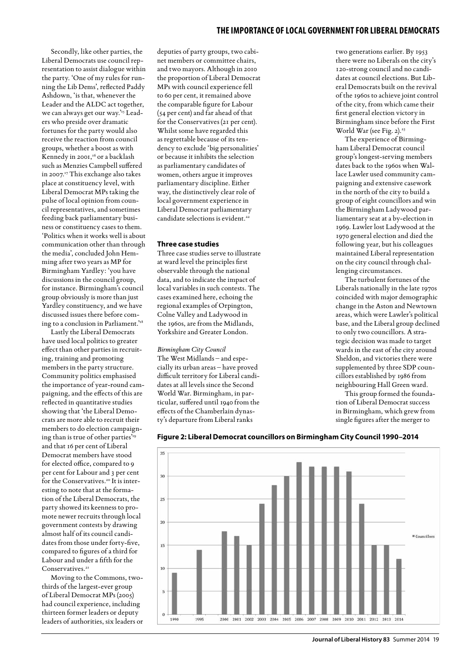Secondly, like other parties, the Liberal Democrats use council representation to assist dialogue within the party. 'One of my rules for running the Lib Dems', reflected Paddy Ashdown, 'is that, whenever the Leader and the ALDC act together, we can always get our way.'15 Leaders who preside over dramatic fortunes for the party would also receive the reaction from council groups, whether a boost as with Kennedy in 2001,<sup>16</sup> or a backlash such as Menzies Campbell suffered in 2007.<sup>17</sup> This exchange also takes place at constituency level, with Liberal Democrat MPs taking the pulse of local opinion from council representatives, and sometimes feeding back parliamentary business or constituency cases to them. 'Politics when it works well is about communication other than through the media', concluded John Hemming after two years as MP for Birmingham Yardley: 'you have discussions in the council group, for instance. Birmingham's council group obviously is more than just Yardley constituency, and we have discussed issues there before coming to a conclusion in Parliament.'18

Lastly the Liberal Democrats have used local politics to greater effect than other parties in recruiting, training and promoting members in the party structure. Community politics emphasised the importance of year-round campaigning, and the effects of this are reflected in quantitative studies showing that 'the Liberal Democrats are more able to recruit their members to do election campaigning than is true of other parties'<sup>19</sup> and that 16 per cent of Liberal Democrat members have stood for elected office, compared to 9 per cent for Labour and 3 per cent for the Conservatives.<sup>20</sup> It is interesting to note that at the formation of the Liberal Democrats, the party showed its keenness to promote newer recruits through local government contests by drawing almost half of its council candidates from those under forty-five, compared to figures of a third for Labour and under a fifth for the Conservatives<sup>2</sup>

Moving to the Commons, twothirds of the largest-ever group of Liberal Democrat MPs (2005) had council experience, including thirteen former leaders or deputy leaders of authorities, six leaders or deputies of party groups, two cabinet members or committee chairs, and two mayors. Although in 2010 the proportion of Liberal Democrat MPs with council experience fell to 60 per cent, it remained above the comparable figure for Labour (54 per cent) and far ahead of that for the Conservatives (21 per cent). Whilst some have regarded this as regrettable because of its tendency to exclude 'big personalities' or because it inhibits the selection as parliamentary candidates of women, others argue it improves parliamentary discipline. Either way, the distinctively clear role of local government experience in Liberal Democrat parliamentary candidate selections is evident.<sup>22</sup>

#### **Three case studies**

Three case studies serve to illustrate at ward level the principles first observable through the national data, and to indicate the impact of local variables in such contests. The cases examined here, echoing the regional examples of Orpington, Colne Valley and Ladywood in the 1960s, are from the Midlands, Yorkshire and Greater London.

# *Birmingham City Council*

The West Midlands – and especially its urban areas – have proved difficult territory for Liberal candidates at all levels since the Second World War. Birmingham, in particular, suffered until 1940 from the effects of the Chamberlain dynasty's departure from Liberal ranks

two generations earlier. By 1953 there were no Liberals on the city's 120-strong council and no candidates at council elections. But Liberal Democrats built on the revival of the 1960s to achieve joint control of the city, from which came their first general election victory in Birmingham since before the First World War (see Fig.  $2$ ).<sup>23</sup>

The experience of Birmingham Liberal Democrat council group's longest-serving members dates back to the 1960s when Wallace Lawler used community campaigning and extensive casework in the north of the city to build a group of eight councillors and win the Birmingham Ladywood parliamentary seat at a by-election in 1969. Lawler lost Ladywood at the 1970 general election and died the following year, but his colleagues maintained Liberal representation on the city council through challenging circumstances.

The turbulent fortunes of the Liberals nationally in the late 1970s coincided with major demographic change in the Aston and Newtown areas, which were Lawler's political base, and the Liberal group declined to only two councillors. A strategic decision was made to target wards in the east of the city around Sheldon, and victories there were supplemented by three SDP councillors established by 1986 from neighbouring Hall Green ward.

This group formed the foundation of Liberal Democrat success in Birmingham, which grew from single figures after the merger to



#### **Figure 2: Liberal Democrat councillors on Birmingham City Council 1990–2014**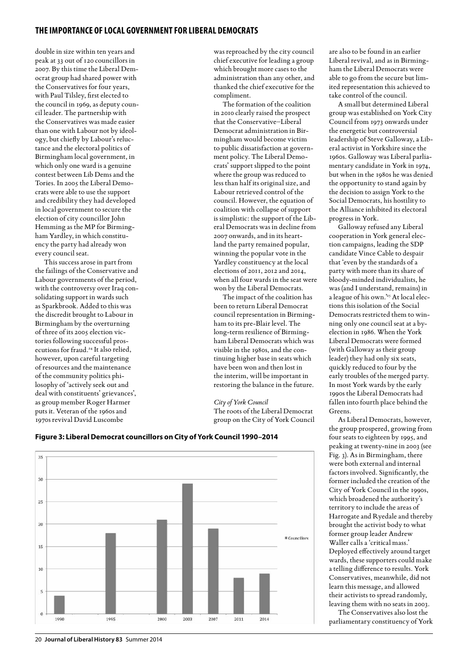double in size within ten years and peak at 33 out of 120 councillors in 2007. By this time the Liberal Democrat group had shared power with the Conservatives for four years, with Paul Tilsley, first elected to the council in 1969, as deputy council leader. The partnership with the Conservatives was made easier than one with Labour not by ideology, but chiefly by Labour's reluctance and the electoral politics of Birmingham local government, in which only one ward is a genuine contest between Lib Dems and the Tories. In 2005 the Liberal Democrats were able to use the support and credibility they had developed in local government to secure the election of city councillor John Hemming as the MP for Birmingham Yardley, in which constituency the party had already won every council seat.

This success arose in part from the failings of the Conservative and Labour governments of the period, with the controversy over Iraq consolidating support in wards such as Sparkbrook. Added to this was the discredit brought to Labour in Birmingham by the overturning of three of its 2005 election victories following successful prosecutions for fraud.<sup>24</sup> It also relied, however, upon careful targeting of resources and the maintenance of the community politics philosophy of 'actively seek out and deal with constituents' grievances', as group member Roger Harmer puts it. Veteran of the 1960s and 1970s revival David Luscombe

was reproached by the city council chief executive for leading a group which brought more cases to the administration than any other, and thanked the chief executive for the compliment.

The formation of the coalition in 2010 clearly raised the prospect that the Conservative–Liberal Democrat administration in Birmingham would become victim to public dissatisfaction at government policy. The Liberal Democrats' support slipped to the point where the group was reduced to less than half its original size, and Labour retrieved control of the council. However, the equation of coalition with collapse of support is simplistic: the support of the Liberal Democrats was in decline from 2007 onwards, and in its heartland the party remained popular, winning the popular vote in the Yardley constituency at the local elections of 2011, 2012 and 2014, when all four wards in the seat were won by the Liberal Democrats.

The impact of the coalition has been to return Liberal Democrat council representation in Birmingham to its pre-Blair level. The long-term resilience of Birmingham Liberal Democrats which was visible in the 1980s, and the continuing higher base in seats which have been won and then lost in the interim, will be important in restoring the balance in the future.

*City of York Council* The roots of the Liberal Democrat group on the City of York Council

 $\overline{35}$  $\overline{30}$  $25$  $\overline{20}$  $\equiv$  Councillors  $15$ 10  $\overline{\mathbf{s}}$ 2014 1996 1995 2000 2003 2007 2011

# **Figure 3: Liberal Democrat councillors on City of York Council 1990–2014**

are also to be found in an earlier Liberal revival, and as in Birmingham the Liberal Democrats were able to go from the secure but limited representation this achieved to take control of the council.

A small but determined Liberal group was established on York City Council from 1973 onwards under the energetic but controversial leadership of Steve Galloway, a Liberal activist in Yorkshire since the 1960s. Galloway was Liberal parliamentary candidate in York in 1974, but when in the 1980s he was denied the opportunity to stand again by the decision to assign York to the Social Democrats, his hostility to the Alliance inhibited its electoral progress in York.

Galloway refused any Liberal cooperation in York general election campaigns, leading the SDP candidate Vince Cable to despair that 'even by the standards of a party with more than its share of bloody-minded individualists, he was (and I understand, remains) in a league of his own.'25 At local elections this isolation of the Social Democrats restricted them to winning only one council seat at a byelection in 1986. When the York Liberal Democrats were formed (with Galloway as their group leader) they had only six seats, quickly reduced to four by the early troubles of the merged party. In most York wards by the early 1990s the Liberal Democrats had fallen into fourth place behind the Greens.

As Liberal Democrats, however, the group prospered, growing from four seats to eighteen by 1995, and peaking at twenty-nine in 2003 (see Fig. 3). As in Birmingham, there were both external and internal factors involved. Significantly, the former included the creation of the City of York Council in the 1990s, which broadened the authority's territory to include the areas of Harrogate and Ryedale and thereby brought the activist body to what former group leader Andrew Waller calls a 'critical mass.' Deployed effectively around target wards, these supporters could make a telling difference to results. York Conservatives, meanwhile, did not learn this message, and allowed their activists to spread randomly, leaving them with no seats in 2003.

The Conservatives also lost the parliamentary constituency of York

#### 20 **Journal of Liberal History 83** Summer 2014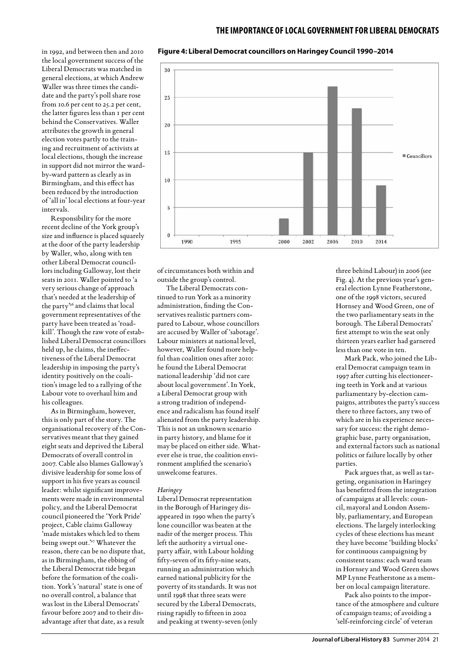**Figure 4: Liberal Democrat councillors on Haringey Council 1990–2014**

in 1992, and between then and 2010 the local government success of the Liberal Democrats was matched in general elections, at which Andrew Waller was three times the candidate and the party's poll share rose from 10.6 per cent to 25.2 per cent, the latter figures less than 1 per cent behind the Conservatives. Waller attributes the growth in general election votes partly to the training and recruitment of activists at local elections, though the increase in support did not mirror the wardby-ward pattern as clearly as in Birmingham, and this effect has been reduced by the introduction of 'all in' local elections at four-year intervals.

Responsibility for the more recent decline of the York group's size and influence is placed squarely at the door of the party leadership by Waller, who, along with ten other Liberal Democrat councillors including Galloway, lost their seats in 2011. Waller pointed to 'a very serious change of approach that's needed at the leadership of the party'26 and claims that local government representatives of the party have been treated as 'roadkill'. Though the raw vote of established Liberal Democrat councillors held up, he claims, the ineffectiveness of the Liberal Democrat leadership in imposing the party's identity positively on the coalition's image led to a rallying of the Labour vote to overhaul him and his colleagues.

As in Birmingham, however, this is only part of the story. The organisational recovery of the Conservatives meant that they gained eight seats and deprived the Liberal Democrats of overall control in 2007. Cable also blames Galloway's divisive leadership for some loss of support in his five years as council leader: whilst significant improvements were made in environmental policy, and the Liberal Democrat council pioneered the 'York Pride' project, Cable claims Galloway 'made mistakes which led to them being swept out.'27 Whatever the reason, there can be no dispute that, as in Birmingham, the ebbing of the Liberal Democrat tide began before the formation of the coalition. York's 'natural' state is one of no overall control, a balance that was lost in the Liberal Democrats' favour before 2007 and to their disadvantage after that date, as a result



of circumstances both within and outside the group's control.

The Liberal Democrats continued to run York as a minority administration, finding the Conservatives realistic partners compared to Labour, whose councillors are accused by Waller of 'sabotage'. Labour ministers at national level, however, Waller found more helpful than coalition ones after 2010: he found the Liberal Democrat national leadership 'did not care about local government'. In York, a Liberal Democrat group with a strong tradition of independence and radicalism has found itself alienated from the party leadership. This is not an unknown scenario in party history, and blame for it may be placed on either side. Whatever else is true, the coalition environment amplified the scenario's unwelcome features.

#### *Haringey*

Liberal Democrat representation in the Borough of Haringey disappeared in 1990 when the party's lone councillor was beaten at the nadir of the merger process. This left the authority a virtual oneparty affair, with Labour holding fifty-seven of its fifty-nine seats, running an administration which earned national publicity for the poverty of its standards. It was not until 1998 that three seats were secured by the Liberal Democrats, rising rapidly to fifteen in 2002 and peaking at twenty-seven (only three behind Labour) in 2006 (see Fig. 4). At the previous year's general election Lynne Featherstone, one of the 1998 victors, secured Hornsey and Wood Green, one of the two parliamentary seats in the borough. The Liberal Democrats' first attempt to win the seat only thirteen years earlier had garnered less than one vote in ten.

Mark Pack, who joined the Liberal Democrat campaign team in 1997 after cutting his electioneering teeth in York and at various parliamentary by-election campaigns, attributes the party's success there to three factors, any two of which are in his experience necessary for success: the right demographic base, party organisation, and external factors such as national politics or failure locally by other parties.

Pack argues that, as well as targeting, organisation in Haringey has benefitted from the integration of campaigns at all levels: council, mayoral and London Assembly, parliamentary, and European elections. The largely interlocking cycles of these elections has meant they have become 'building blocks' for continuous campaigning by consistent teams: each ward team in Hornsey and Wood Green shows MP Lynne Featherstone as a member on local campaign literature.

Pack also points to the importance of the atmosphere and culture of campaign teams; of avoiding a 'self-reinforcing circle' of veteran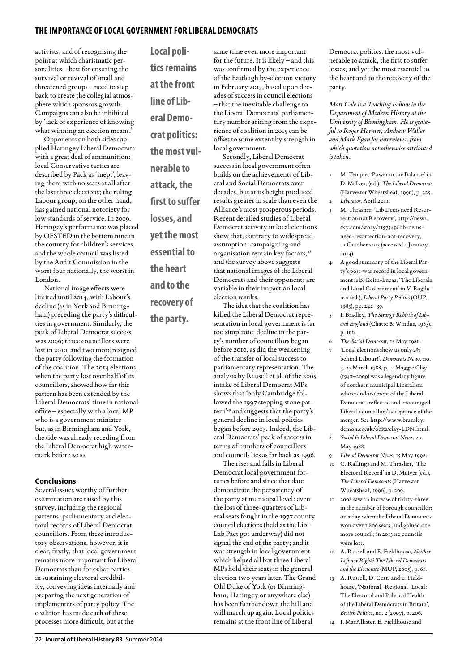activists; and of recognising the point at which charismatic personalities – best for ensuring the survival or revival of small and threatened groups – need to step back to create the collegial atmosphere which sponsors growth. Campaigns can also be inhibited by 'lack of experience of knowing what winning an election means.'

Opponents on both sides supplied Haringey Liberal Democrats with a great deal of ammunition: local Conservative tactics are described by Pack as 'inept', leaving them with no seats at all after the last three elections; the ruling Labour group, on the other hand, has gained national notoriety for low standards of service. In 2009, Haringey's performance was placed by OFSTED in the bottom nine in the country for children's services, and the whole council was listed by the Audit Commission in the worst four nationally, the worst in London.

National image effects were limited until 2014, with Labour's decline (as in York and Birmingham) preceding the party's difficulties in government. Similarly, the peak of Liberal Democrat success was 2006; three councillors were lost in 2010, and two more resigned the party following the formation of the coalition. The 2014 elections, when the party lost over half of its councillors, showed how far this pattern has been extended by the Liberal Democrats' time in national office – especially with a local MP who is a government minister – but, as in Birmingham and York, the tide was already receding from the Liberal Democrat high watermark before 2010.

# **Conclusions**

Several issues worthy of further examination are raised by this survey, including the regional patterns, parliamentary and electoral records of Liberal Democrat councillors. From these introductory observations, however, it is clear, firstly, that local government remains more important for Liberal Democrats than for other parties in sustaining electoral credibility, conveying ideas internally and preparing the next generation of implementers of party policy. The coalition has made each of these processes more difficult, but at the

**Local politics remains at the front line of Liberal Democrat politics: the most vulnerable to attack, the first to suffer losses, and yet the most essential to the heart and to the recovery of the party.** 

same time even more important for the future. It is likely – and this was confirmed by the experience of the Eastleigh by-election victory in February 2013, based upon decades of success in council elections – that the inevitable challenge to the Liberal Democrats' parliamentary number arising from the experience of coalition in 2015 can be offset to some extent by strength in local government. Secondly, Liberal Democrat

success in local government often builds on the achievements of Liberal and Social Democrats over decades, but at its height produced results greater in scale than even the Alliance's most prosperous periods. Recent detailed studies of Liberal Democrat activity in local elections show that, contrary to widespread assumption, campaigning and organisation remain key factors,<sup>28</sup> and the survey above suggests that national images of the Liberal Democrats and their opponents are variable in their impact on local election results.

The idea that the coalition has killed the Liberal Democrat representation in local government is far too simplistic: decline in the party's number of councillors began before 2010, as did the weakening of the transfer of local success to parliamentary representation. The analysis by Russell et al. of the 2005 intake of Liberal Democrat MPs shows that 'only Cambridge followed the 1997 stepping stone pattern'29 and suggests that the party's general decline in local politics began before 2005. Indeed, the Liberal Democrats' peak of success in terms of numbers of councillors and councils lies as far back as 1996.

The rises and falls in Liberal Democrat local government fortunes before and since that date demonstrate the persistency of the party at municipal level: even the loss of three-quarters of Liberal seats fought in the 1977 county council elections (held as the Lib– Lab Pact got underway) did not signal the end of the party; and it was strength in local government which helped all but three Liberal MPs hold their seats in the general election two years later. The Grand Old Duke of York (or Birmingham, Haringey or anywhere else) has been further down the hill and will march up again. Local politics remains at the front line of Liberal

Democrat politics: the most vulnerable to attack, the first to suffer losses, and yet the most essential to the heart and to the recovery of the party.

*Matt Cole is a Teaching Fellow in the Department of Modern History at the University of Birmingham. He is grateful to Roger Harmer, Andrew Waller and Mark Egan for interviews, from which quotation not otherwise attributed is taken.*

- 1 M. Temple, 'Power in the Balance' in D. McIver, (ed.), *The Liberal Democrats* (Harvester Wheatsheaf, 1996), p. 225.
- 2 *Liberator*, April 2011.
- 3 M. Thrasher, 'Lib Dems need Resurrection not Recovery', http://news. sky.com/story/1157349/lib-demsneed-resurrection-not-recovery, 21 October 2013 (accessed 1 January 2014).
- 4 A good summary of the Liberal Party's post-war record in local government is B. Keith-Lucas, 'The Liberals and Local Government' in V. Bogdanor (ed.), *Liberal Party Politics* (OUP, 1983), pp. 242–59.
- 5 I. Bradley, *The Strange Rebirth of Liberal England* (Chatto & Windus, 1985), p. 166.
- 6 *The Social Democrat*, 15 May 1986.
- 7 'Local elections show us only 2% behind Labour!', *Democrats News*, no. 3, 27 March 1988, p. 1. Maggie Clay (1947–2009) was a legendary figure of northern municipal Liberalism whose endorsement of the Liberal Democrats reflected and encouraged Liberal councillors' acceptance of the merger. See http://www.bramley. demon.co.uk/obits/clay-LDN.html.
- 8 *Social & Liberal Democrat News*, 20 May 1988.
- 9 *Liberal Democrat News*, 15 May 1992.
- 10 C. Rallings and M. Thrasher, 'The Electoral Record' in D. McIver (ed.), *The Liberal Democrats* (Harvester Wheatsheaf, 1996), p. 209.
- 11 2008 saw an increase of thirty-three in the number of borough councillors on a day when the Liberal Democrats won over 1,800 seats, and gained one more council; in 2013 no councils were lost.
- 12 A. Russell and E. Fieldhouse, *Neither Left nor Right? The Liberal Democrats and the Electorate* (MUP, 2005), p. 61.
- 13 A. Russell, D. Cutts and E. Fieldhouse, 'National–Regional–Local: The Electoral and Political Health of the Liberal Democrats in Britain', *British Politics*, no. 2 (2007), p. 206.
- 14 I. MacAllister, E. Fieldhouse and